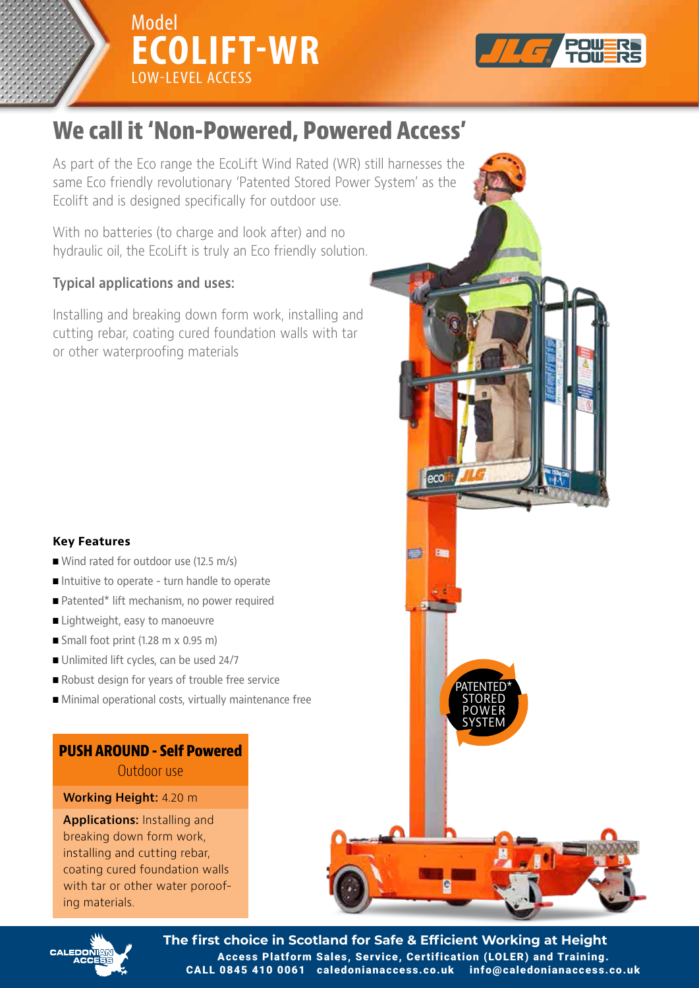



# **We call it 'Non-Powered, Powered Access'**

As part of the Eco range the EcoLift Wind Rated (WR) still harnesses the same Eco friendly revolutionary 'Patented Stored Power System' as the Ecolift and is designed specifically for outdoor use.

hydraulic oil, the EcoLift is truly an Eco friendly solution. With no batteries (to charge and look after) and no

#### hydraulic oil, the EcoLift is truly an Eco friendly solution. **Typical applications and uses:**

**Typical applications and uses:** cutting rebar, coating cured foundation walls with tar or other waterproofing materials with the waterproofing materials Installing and breaking down form work, installing and

### **Key Features**

- Wind rated for outdoor use (12.5 m/s)
- Intuitive to operate turn handle to operate
- Patented\* lift mechanism, no power required
- $\blacksquare$  Lightweight, easy to manoeuvre
- Small foot print (1.28 m x 0.95 m)
- Unlimited lift cycles, can be used 24/7
- Robust design for years of trouble free service
- Minimal operational costs, virtually maintenance free

**PUSH AROUND - Self Powered AROUND - Self Powered PUSH AROUND - Self Powered** 

## **Working Height:** 4.20 m

breaking down form work, installing and cutting rebar, coating cured foundation walls with tar or other water poroofing materials. When water water water poro Applications: Installing and





**The first choice in Scotland for Safe & Efficient Working at Height** Access Platform Sales, Service, Certification (LOLER) and Training. CALL 0845 410 0061 caledonianaccess.co.uk info@caledonianaccess.co.uk